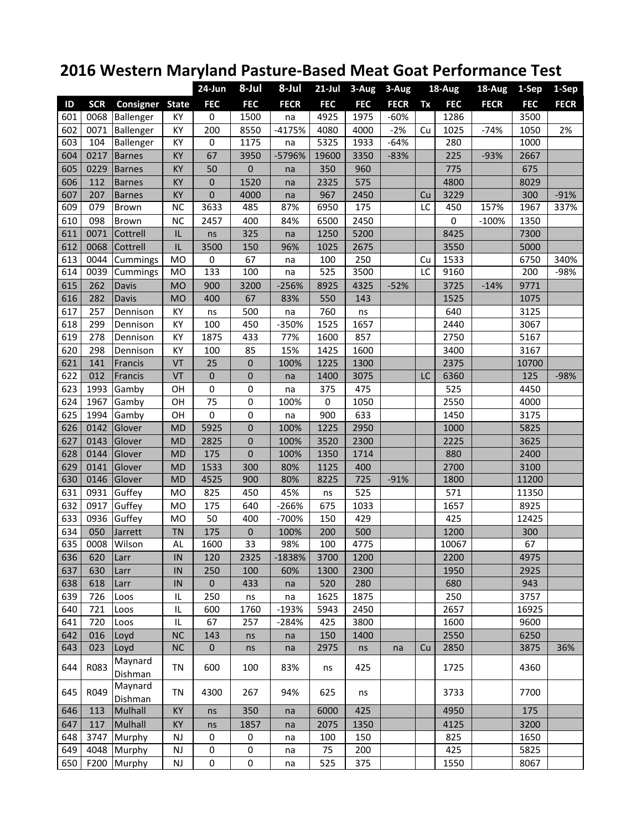## **2016 Western Maryland Pasture‐Based Meat Goat Performance Test**

|     |            |                        |                        | 24-Jun           | 8-Jul            | 8-Jul       | $21$ -Jul  | 3-Aug      | 3-Aug       | 18-Aug |            | 18-Aug      | 1-Sep      | 1-Sep       |
|-----|------------|------------------------|------------------------|------------------|------------------|-------------|------------|------------|-------------|--------|------------|-------------|------------|-------------|
| ID  | <b>SCR</b> | <b>Consigner State</b> |                        | <b>FEC</b>       | <b>FEC</b>       | <b>FECR</b> | <b>FEC</b> | <b>FEC</b> | <b>FECR</b> | Tx     | <b>FEC</b> | <b>FECR</b> | <b>FEC</b> | <b>FECR</b> |
| 601 | 0068       | Ballenger              | KY                     | 0                | 1500             | na          | 4925       | 1975       | $-60%$      |        | 1286       |             | 3500       |             |
| 602 | 0071       | Ballenger              | KY                     | 200              | 8550             | $-4175%$    | 4080       | 4000       | $-2%$       | Cu     | 1025       | $-74%$      | 1050       | 2%          |
| 603 | 104        | Ballenger              | KY                     | 0                | 1175             | na          | 5325       | 1933       | $-64%$      |        | 280        |             | 1000       |             |
| 604 | 0217       | <b>Barnes</b>          | KY                     | 67               | 3950             | -5796%      | 19600      | 3350       | $-83%$      |        | 225        | $-93%$      | 2667       |             |
| 605 | 0229       | Barnes                 | KY                     | 50               | $\boldsymbol{0}$ | na          | 350        | 960        |             |        | 775        |             | 675        |             |
| 606 | 112        | <b>Barnes</b>          | KY                     | $\pmb{0}$        | 1520             | na          | 2325       | 575        |             |        | 4800       |             | 8029       |             |
| 607 | 207        | <b>Barnes</b>          | KY                     | $\boldsymbol{0}$ | 4000             | na          | 967        | 2450       |             | Cu     | 3229       |             | 300        | $-91%$      |
| 609 | 079        | Brown                  | <b>NC</b>              | 3633             | 485              | 87%         | 6950       | 175        |             | LC     | 450        | 157%        | 1967       | 337%        |
| 610 | 098        | <b>Brown</b>           | <b>NC</b>              | 2457             | 400              | 84%         | 6500       | 2450       |             |        | 0          | $-100%$     | 1350       |             |
| 611 | 0071       | Cottrell               | IL                     | ns               | 325              | na          | 1250       | 5200       |             |        | 8425       |             | 7300       |             |
| 612 | 0068       | Cottrell               | IL                     | 3500             | 150              | 96%         | 1025       | 2675       |             |        | 3550       |             | 5000       |             |
| 613 | 0044       | Cummings               | <b>MO</b>              | $\pmb{0}$        | 67               | na          | 100        | 250        |             | Cu     | 1533       |             | 6750       | 340%        |
| 614 | 0039       | Cummings               | MO                     | 133              | 100              | na          | 525        | 3500       |             | LC     | 9160       |             | 200        | -98%        |
| 615 | 262        | <b>Davis</b>           | <b>MO</b>              | 900              | 3200             | $-256%$     | 8925       | 4325       | $-52%$      |        | 3725       | $-14%$      | 9771       |             |
| 616 | 282        | Davis                  | <b>MO</b>              | 400              | 67               | 83%         | 550        | 143        |             |        | 1525       |             | 1075       |             |
| 617 | 257        | Dennison               | KY                     | ns               | 500              | na          | 760        | ns         |             |        | 640        |             | 3125       |             |
| 618 | 299        | Dennison               | KY                     | 100              | 450              | -350%       | 1525       | 1657       |             |        | 2440       |             | 3067       |             |
| 619 | 278        | Dennison               | KY                     | 1875             | 433              | 77%         | 1600       | 857        |             |        | 2750       |             | 5167       |             |
| 620 | 298        | Dennison               | KY                     | 100              | 85               | 15%         | 1425       | 1600       |             |        | 3400       |             | 3167       |             |
| 621 | 141        | Francis                | VT                     | 25               | $\mathbf 0$      | 100%        | 1225       | 1300       |             |        | 2375       |             | 10700      |             |
| 622 | 012        | Francis                | VT                     | $\pmb{0}$        | $\boldsymbol{0}$ | na          | 1400       | 3075       |             | LC     | 6360       |             | 125        | $-98%$      |
| 623 | 1993       | Gamby                  | OH                     | 0                | 0                | na          | 375        | 475        |             |        | 525        |             | 4450       |             |
| 624 | 1967       | Gamby                  | OH                     | 75               | 0                | 100%        | 0          | 1050       |             |        | 2550       |             | 4000       |             |
| 625 | 1994       | Gamby                  | OH                     | 0                | 0                | na          | 900        | 633        |             |        | 1450       |             | 3175       |             |
| 626 | 0142       | Glover                 | <b>MD</b>              | 5925             | $\boldsymbol{0}$ | 100%        | 1225       | 2950       |             |        | 1000       |             | 5825       |             |
| 627 | 0143       | Glover                 | <b>MD</b>              | 2825             | $\mathbf 0$      | 100%        | 3520       | 2300       |             |        | 2225       |             | 3625       |             |
| 628 | 0144       | Glover                 | <b>MD</b>              | 175              | $\mathbf 0$      | 100%        | 1350       | 1714       |             |        | 880        |             | 2400       |             |
| 629 | 0141       | Glover                 | <b>MD</b>              | 1533             | 300              | 80%         | 1125       | 400        |             |        | 2700       |             | 3100       |             |
| 630 | 0146       | Glover                 | <b>MD</b>              | 4525             | 900              | 80%         | 8225       | 725        | $-91%$      |        | 1800       |             | 11200      |             |
| 631 | 0931       | Guffey                 | MO                     | 825              | 450              | 45%         | ns         | 525        |             |        | 571        |             | 11350      |             |
| 632 | 0917       | Guffey                 | MO                     | 175              | 640              | $-266%$     | 675        | 1033       |             |        | 1657       |             | 8925       |             |
| 633 | 0936       | Guffey                 | <b>MO</b>              | 50               | 400              | -700%       | 150        | 429        |             |        | 425        |             | 12425      |             |
| 634 | 050        | Jarrett                | <b>TN</b>              | 175              | 0                | 100%        | 200        | 500        |             |        | 1200       |             | 300        |             |
| 635 | 0008       | Wilson                 | AL                     | 1600             | 33               | 98%         | 100        | 4775       |             |        | 10067      |             | 67         |             |
| 636 | 620        | Larr                   | $\sf IN$               | 120              | 2325             | $-1838%$    | 3700       | 1200       |             |        | 2200       |             | 4975       |             |
| 637 | 630        | Larr                   | IN                     | 250              | 100              | 60%         | 1300       | 2300       |             |        | 1950       |             | 2925       |             |
| 638 | 618        | Larr                   | IN                     | 0                | 433              | na          | 520        | 280        |             |        | 680        |             | 943        |             |
| 639 | 726        | Loos                   | IL                     | 250              | ns               | na          | 1625       | 1875       |             |        | 250        |             | 3757       |             |
| 640 | 721        | Loos                   | IL                     | 600              | 1760             | $-193%$     | 5943       | 2450       |             |        | 2657       |             | 16925      |             |
| 641 | 720        | Loos                   | IL                     | 67               | 257              | $-284%$     | 425        | 3800       |             |        | 1600       |             | 9600       |             |
| 642 | 016        | Loyd                   | <b>NC</b>              | 143              | ns               | na          | 150        | 1400       |             |        | 2550       |             | 6250       |             |
| 643 | 023        | Loyd                   | <b>NC</b>              | $\pmb{0}$        | ns               | na          | 2975       | ns         | na          | Cu     | 2850       |             | 3875       | 36%         |
| 644 | R083       | Maynard<br>Dishman     | TN                     | 600              | 100              | 83%         | ns         | 425        |             |        | 1725       |             | 4360       |             |
| 645 | R049       | Maynard<br>Dishman     | TN                     | 4300             | 267              | 94%         | 625        | ns         |             |        | 3733       |             | 7700       |             |
| 646 | 113        | Mulhall                | KY                     | ns               | 350              | na          | 6000       | 425        |             |        | 4950       |             | 175        |             |
| 647 | 117        | Mulhall                | KY                     | ns               | 1857             | na          | 2075       | 1350       |             |        | 4125       |             | 3200       |             |
| 648 | 3747       | Murphy                 | <b>NJ</b>              | 0                | $\mathbf 0$      | na          | 100        | 150        |             |        | 825        |             | 1650       |             |
| 649 | 4048       | Murphy                 | $\mathsf{N}\mathsf{J}$ | 0                | $\pmb{0}$        | na          | 75         | 200        |             |        | 425        |             | 5825       |             |
| 650 | F200       | Murphy                 | NJ                     | 0                | $\pmb{0}$        | na          | 525        | 375        |             |        | 1550       |             | 8067       |             |
|     |            |                        |                        |                  |                  |             |            |            |             |        |            |             |            |             |